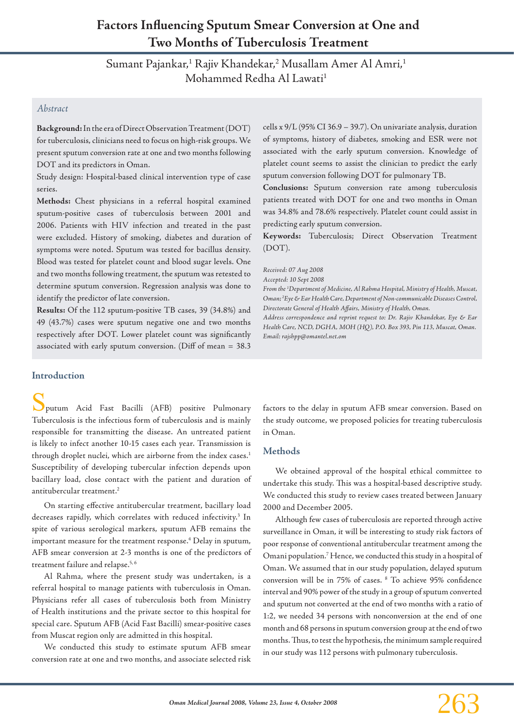# **Factors Influencing Sputum Smear Conversion at One and Two Months of Tuberculosis Treatment**

Sumant Pajankar,<sup>1</sup> Rajiv Khandekar,<sup>2</sup> Musallam Amer Al Amri,<sup>1</sup> Mohammed Redha Al Lawati<sup>1</sup>

## *Abstract*

**Background:** In the era of Direct Observation Treatment (DOT) for tuberculosis, clinicians need to focus on high-risk groups. We present sputum conversion rate at one and two months following DOT and its predictors in Oman.

Study design: Hospital-based clinical intervention type of case series.

**Methods:** Chest physicians in a referral hospital examined sputum-positive cases of tuberculosis between 2001 and 2006. Patients with HIV infection and treated in the past were excluded. History of smoking, diabetes and duration of symptoms were noted. Sputum was tested for bacillus density. Blood was tested for platelet count and blood sugar levels. One and two months following treatment, the sputum was retested to determine sputum conversion. Regression analysis was done to identify the predictor of late conversion.

**Results:** Of the 112 sputum-positive TB cases, 39 (34.8%) and 49 (43.7%) cases were sputum negative one and two months respectively after DOT. Lower platelet count was significantly associated with early sputum conversion. (Diff of mean = 38.3 cells x 9/L (95% CI 36.9 – 39.7). On univariate analysis, duration of symptoms, history of diabetes, smoking and ESR were not associated with the early sputum conversion. Knowledge of platelet count seems to assist the clinician to predict the early sputum conversion following DOT for pulmonary TB.

**Conclusions:** Sputum conversion rate among tuberculosis patients treated with DOT for one and two months in Oman was 34.8% and 78.6% respectively. Platelet count could assist in predicting early sputum conversion.

**Keywords:** Tuberculosis; Direct Observation Treatment (DOT).

*Received: 07 Aug 2008* 

*Accepted: 10 Sept 2008*

*From the 1 Department of Medicine, Al Rahma Hospital, Ministry of Health, Muscat, Oman; 2 Eye & Ear Health Care, Department of Non-communicable Diseases Control, Directorate General of Health Affairs, Ministry of Health, Oman. Address correspondence and reprint request to: Dr. Rajiv Khandekar, Eye & Ear* 

*Health Care, NCD, DGHA, MOH (HQ), P.O. Box 393, Pin 113, Muscat, Oman. Email: rajshpp@omantel.net.om*

#### **Introduction**

Sputum Acid Fast Bacilli (AFB) positive Pulmonary Tuberculosis is the infectious form of tuberculosis and is mainly responsible for transmitting the disease. An untreated patient is likely to infect another 10-15 cases each year. Transmission is through droplet nuclei, which are airborne from the index cases.<sup>1</sup> Susceptibility of developing tubercular infection depends upon bacillary load, close contact with the patient and duration of antitubercular treatment.2

On starting effective antitubercular treatment, bacillary load decreases rapidly, which correlates with reduced infectivity.<sup>3</sup> In spite of various serological markers, sputum AFB remains the important measure for the treatment response.4 Delay in sputum, AFB smear conversion at 2-3 months is one of the predictors of treatment failure and relapse.<sup>5, 6</sup>

Al Rahma, where the present study was undertaken, is a referral hospital to manage patients with tuberculosis in Oman. Physicians refer all cases of tuberculosis both from Ministry of Health institutions and the private sector to this hospital for special care. Sputum AFB (Acid Fast Bacilli) smear-positive cases from Muscat region only are admitted in this hospital.

We conducted this study to estimate sputum AFB smear conversion rate at one and two months, and associate selected risk

factors to the delay in sputum AFB smear conversion. Based on the study outcome, we proposed policies for treating tuberculosis in Oman.

### **Methods**

We obtained approval of the hospital ethical committee to undertake this study. This was a hospital-based descriptive study. We conducted this study to review cases treated between January 2000 and December 2005.

Although few cases of tuberculosis are reported through active surveillance in Oman, it will be interesting to study risk factors of poor response of conventional antitubercular treatment among the Omani population.7 Hence, we conducted this study in a hospital of Oman. We assumed that in our study population, delayed sputum conversion will be in 75% of cases. 8 To achieve 95% confidence interval and 90% power of the study in a group of sputum converted and sputum not converted at the end of two months with a ratio of 1:2, we needed 34 persons with nonconversion at the end of one month and 68 persons in sputum conversion group at the end of two months. Thus, to test the hypothesis, the minimum sample required in our study was 112 persons with pulmonary tuberculosis.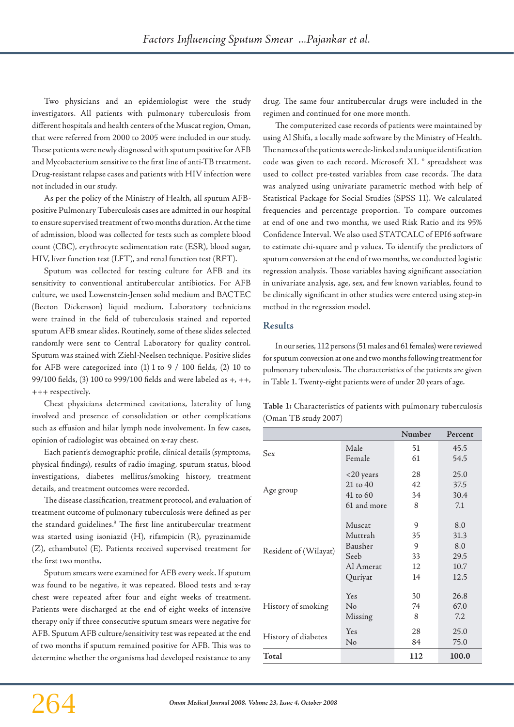Two physicians and an epidemiologist were the study investigators. All patients with pulmonary tuberculosis from different hospitals and health centers of the Muscat region, Oman, that were referred from 2000 to 2005 were included in our study. These patients were newly diagnosed with sputum positive for AFB and Mycobacterium sensitive to the first line of anti-TB treatment. Drug-resistant relapse cases and patients with HIV infection were not included in our study.

As per the policy of the Ministry of Health, all sputum AFBpositive Pulmonary Tuberculosis cases are admitted in our hospital to ensure supervised treatment of two months duration. At the time of admission, blood was collected for tests such as complete blood count (CBC), erythrocyte sedimentation rate (ESR), blood sugar, HIV, liver function test (LFT), and renal function test (RFT).

Sputum was collected for testing culture for AFB and its sensitivity to conventional antitubercular antibiotics. For AFB culture, we used Lowenstein-Jensen solid medium and BACTEC (Becton Dickenson) liquid medium. Laboratory technicians were trained in the field of tuberculosis stained and reported sputum AFB smear slides. Routinely, some of these slides selected randomly were sent to Central Laboratory for quality control. Sputum was stained with Ziehl-Neelsen technique. Positive slides for AFB were categorized into (1) 1 to 9 / 100 fields, (2) 10 to 99/100 fields, (3) 100 to 999/100 fields and were labeled as +, ++, +++ respectively.

Chest physicians determined cavitations, laterality of lung involved and presence of consolidation or other complications such as effusion and hilar lymph node involvement. In few cases, opinion of radiologist was obtained on x-ray chest.

Each patient's demographic profile, clinical details (symptoms, physical findings), results of radio imaging, sputum status, blood investigations, diabetes mellitus/smoking history, treatment details, and treatment outcomes were recorded.

The disease classification, treatment protocol, and evaluation of treatment outcome of pulmonary tuberculosis were defined as per the standard guidelines.9 The first line antitubercular treatment was started using isoniazid (H), rifampicin (R), pyrazinamide (Z), ethambutol (E). Patients received supervised treatment for the first two months.

Sputum smears were examined for AFB every week. If sputum was found to be negative, it was repeated. Blood tests and x-ray chest were repeated after four and eight weeks of treatment. Patients were discharged at the end of eight weeks of intensive therapy only if three consecutive sputum smears were negative for AFB. Sputum AFB culture/sensitivity test was repeated at the end of two months if sputum remained positive for AFB. This was to determine whether the organisms had developed resistance to any

drug. The same four antitubercular drugs were included in the regimen and continued for one more month.

The computerized case records of patients were maintained by using Al Shifa, a locally made software by the Ministry of Health. The names of the patients were de-linked and a unique identification code was given to each record. Microsoft XL ® spreadsheet was used to collect pre-tested variables from case records. The data was analyzed using univariate parametric method with help of Statistical Package for Social Studies (SPSS 11). We calculated frequencies and percentage proportion. To compare outcomes at end of one and two months, we used Risk Ratio and its 95% Confidence Interval. We also used STATCALC of EPI6 software to estimate chi-square and p values. To identify the predictors of sputum conversion at the end of two months, we conducted logistic regression analysis. Those variables having significant association in univariate analysis, age, sex, and few known variables, found to be clinically significant in other studies were entered using step-in method in the regression model.

#### **Results**

In our series, 112 persons (51 males and 61 females) were reviewed for sputum conversion at one and two months following treatment for pulmonary tuberculosis. The characteristics of the patients are given in Table 1. Twenty-eight patients were of under 20 years of age.

|                       |             | Number | Percent |
|-----------------------|-------------|--------|---------|
| Sex                   | Male        | 51     | 45.5    |
|                       | Female      | 61     | 54.5    |
|                       | <20 years   | 28     | 25.0    |
| Age group             | 21 to 40    | 42     | 37.5    |
|                       | 41 to 60    | 34     | 30.4    |
|                       | 61 and more | 8      | 7.1     |
| Resident of (Wilayat) | Muscat      | 9      | 8.0     |
|                       | Muttrah     | 35     | 31.3    |
|                       | Bausher     | 9      | 8.0     |
|                       | Seeb        | 33     | 29.5    |
|                       | Al Amerat   | 12     | 10.7    |
|                       | Quriyat     | 14     | 12.5    |
| History of smoking    | Yes         | 30     | 26.8    |
|                       | No          | 74     | 67.0    |
|                       | Missing     | 8      | 7.2     |
|                       | Yes         | 28     | 25.0    |
| History of diabetes   | No          | 84     | 75.0    |
| Total                 |             | 112    | 100.0   |

**Table 1:** Characteristics of patients with pulmonary tuberculosis (Oman TB study 2007)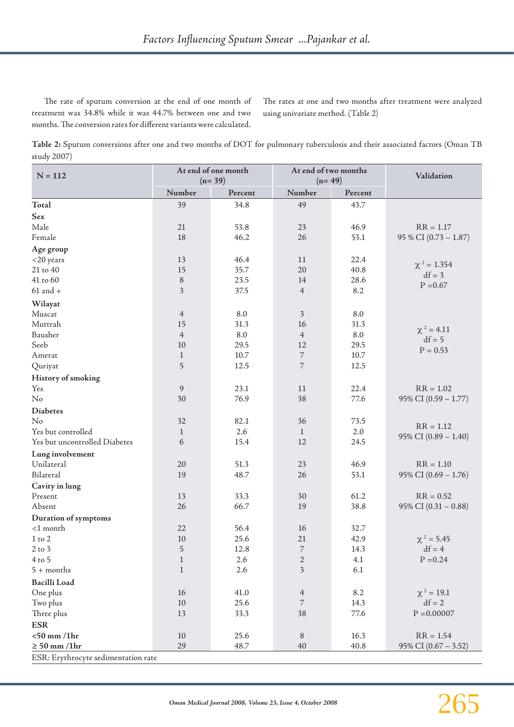The rate of sputum conversion at the end of one month of treatment was 34.8% while it was 44.7% between one and two months. The conversion rates for different variants were calculated.

The rates at one and two months after treatment were analyzed using univariate method. (Table 2)

**Table 2:** Sputum conversions after one and two months of DOT for pulmonary tuberculosis and their associated factors (Oman TB study 2007)

| $N = 112$                           | At end of one month<br>$(n=39)$ |          | At end of two months<br>$(n=49)$ |          | Validation             |  |
|-------------------------------------|---------------------------------|----------|----------------------------------|----------|------------------------|--|
|                                     | Number                          | Percent  | Number                           | Percent  |                        |  |
| Total                               | 39                              | 34.8     | 49                               | 43.7     |                        |  |
| Sex                                 |                                 |          |                                  |          |                        |  |
| Male                                | 21                              | 53.8     | 23                               | 46.9     | $RR = 1.17$            |  |
| Female                              | 18                              | 46.2     | 26                               | 53.1     | 95 % CI (0.73 - 1.87)  |  |
| Age group                           |                                 |          |                                  |          |                        |  |
| $<$ 20 years                        | 13                              | 46.4     | $11\,$                           | 22.4     |                        |  |
| 21 to 40                            | 15                              | 35.7     | 20                               | 40.8     | $\chi^2 = 1.354$       |  |
| 41 to 60                            | $\, 8$                          | 23.5     | 14                               | 28.6     | $df = 3$               |  |
| $61$ and $+$                        | $\overline{3}$                  | 37.5     | $\overline{4}$                   | 8.2      | $P = 0.67$             |  |
| Wilayat                             |                                 |          |                                  |          |                        |  |
| Muscat                              | $\overline{4}$                  | $8.0\,$  | $\overline{\mathbf{3}}$          | $8.0\,$  |                        |  |
| Muttrah                             | 15                              | 31.3     | 16                               | 31.3     |                        |  |
| Bausher                             | $\overline{4}$                  | $8.0\,$  | $\overline{4}$                   | $8.0\,$  | $\chi^2 = 4.11$        |  |
| Seeb                                | $10\,$                          | 29.5     | 12                               | 29.5     | $df = 5$               |  |
| Amerat                              | $\mathbf{1}$                    | $10.7\,$ | 7                                | $10.7\,$ | $P = 0.53$             |  |
| Quriyat                             | 5                               | 12.5     | $\overline{7}$                   | 12.5     |                        |  |
| History of smoking                  |                                 |          |                                  |          |                        |  |
| Yes                                 | $\overline{9}$                  | 23.1     | 11                               | 22.4     | $RR = 1.02$            |  |
| No                                  | 30                              | 76.9     | 38                               | 77.6     | 95% CI (0.59 - 1.77)   |  |
| <b>Diabetes</b>                     |                                 |          |                                  |          |                        |  |
| No                                  | 32                              | 82.1     | 36                               | 73.5     |                        |  |
| Yes but controlled                  | $\mathbf{1}$                    | 2.6      | $\mathbf{1}$                     | 2.0      | $RR = 1.12$            |  |
| Yes but uncontrolled Diabetes       | 6                               | 15.4     | 12                               | 24.5     | 95% CI $(0.89 - 1.40)$ |  |
| Lung involvement                    |                                 |          |                                  |          |                        |  |
| Unilateral                          | 20                              | 51.3     | 23                               | 46.9     | $RR = 1.10$            |  |
| Bilateral                           | 19                              | 48.7     | 26                               | 53.1     | 95% CI $(0.69 - 1.76)$ |  |
| Cavity in lung                      |                                 |          |                                  |          |                        |  |
| Present                             | 13                              | 33.3     | 30                               | 61.2     | $RR = 0.52$            |  |
| Absent                              | 26                              | 66.7     | 19                               | 38.8     | 95% CI $(0.31 - 0.88)$ |  |
| Duration of symptoms                |                                 |          |                                  |          |                        |  |
| <1 month                            | 22                              | 56.4     | 16                               | 32.7     |                        |  |
| $1$ to $2\,$                        | 10                              | 25.6     | 21                               | 42.9     | $\chi^2 = 5.45$        |  |
| $2$ to $3$                          | 5                               | 12.8     | $\overline{7}$                   | 14.3     | $df = 4$               |  |
| $4$ to 5                            | $\mathbf{1}$                    | 2.6      | 2                                | 4.1      | $P = 0.24$             |  |
| $5 + months$                        | $\mathbf{1}$                    | 2.6      | 3                                | 6.1      |                        |  |
| <b>Bacilli Load</b>                 |                                 |          |                                  |          |                        |  |
| One plus                            | 16                              | 41.0     | 4                                | 8.2      | $\chi^2 = 19.1$        |  |
| Two plus                            | $10\,$                          | 25.6     | 7                                | 14.3     | $df = 2$               |  |
| Three plus                          | 13                              | 33.3     | 38                               | 77.6     | $P = 0.00007$          |  |
| <b>ESR</b>                          |                                 |          |                                  |          |                        |  |
| $<$ 50 mm /1hr                      | $10\,$                          | 25.6     | $\,8\,$                          | 16.3     | $RR = 1.54$            |  |
| $\geq 50$ mm /1hr                   | 29                              | 48.7     | 40                               | 40.8     | 95% CI $(0.67 - 3.52)$ |  |
| ESR: Erythrocyte sedimentation rate |                                 |          |                                  |          |                        |  |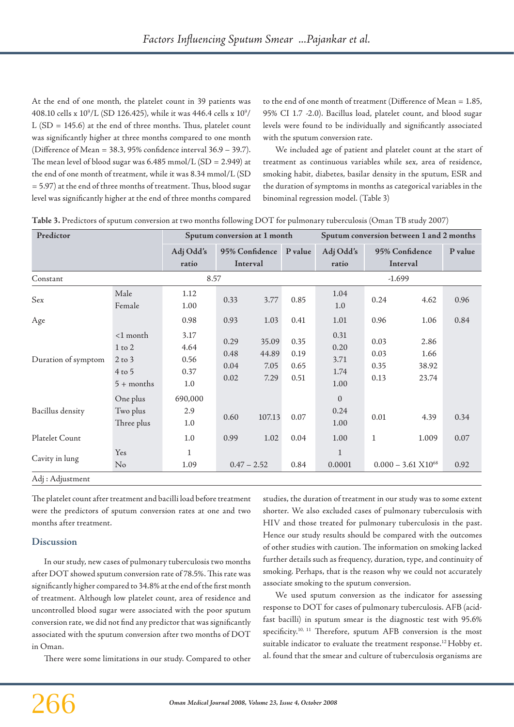At the end of one month, the platelet count in 39 patients was 408.10 cells x  $10^9$ /L (SD 126.425), while it was 446.4 cells x  $10^9$ /  $L(SD = 145.6)$  at the end of three months. Thus, platelet count was significantly higher at three months compared to one month (Difference of Mean = 38.3, 95% confidence interval 36.9 – 39.7). The mean level of blood sugar was  $6.485$  mmol/L (SD = 2.949) at the end of one month of treatment, while it was 8.34 mmol/L (SD = 5.97) at the end of three months of treatment. Thus, blood sugar level was significantly higher at the end of three months compared

to the end of one month of treatment (Difference of Mean = 1.85, 95% CI 1.7 -2.0). Bacillus load, platelet count, and blood sugar levels were found to be individually and significantly associated with the sputum conversion rate.

We included age of patient and platelet count at the start of treatment as continuous variables while sex, area of residence, smoking habit, diabetes, basilar density in the sputum, ESR and the duration of symptoms in months as categorical variables in the binominal regression model. (Table 3)

| Table 3. Predictors of sputum conversion at two months following DOT for pulmonary tuberculosis (Oman TB study 2007) |  |  |  |
|----------------------------------------------------------------------------------------------------------------------|--|--|--|
|----------------------------------------------------------------------------------------------------------------------|--|--|--|

| Predictor           |                                                                     | Sputum conversion at 1 month        |                              |                                | Sputum conversion between 1 and 2 months |                                      |                              |                                |         |
|---------------------|---------------------------------------------------------------------|-------------------------------------|------------------------------|--------------------------------|------------------------------------------|--------------------------------------|------------------------------|--------------------------------|---------|
|                     |                                                                     | Adj Odd's<br>ratio                  | 95% Confidence<br>Interval   |                                | P value                                  | Adj Odd's<br>ratio                   | 95% Confidence<br>Interval   |                                | P value |
| Constant            |                                                                     | 8.57                                |                              | $-1.699$                       |                                          |                                      |                              |                                |         |
| Sex                 | Male<br>Female                                                      | 1.12<br>1.00                        | 0.33                         | 3.77                           | 0.85                                     | 1.04<br>1.0                          | 0.24                         | 4.62                           | 0.96    |
| Age                 |                                                                     | 0.98                                | 0.93                         | 1.03                           | 0.41                                     | 1.01                                 | 0.96                         | 1.06                           | 0.84    |
| Duration of symptom | $<$ 1 month<br>$1$ to $2$<br>$2$ to $3$<br>$4$ to 5<br>$5 +$ months | 3.17<br>4.64<br>0.56<br>0.37<br>1.0 | 0.29<br>0.48<br>0.04<br>0.02 | 35.09<br>44.89<br>7.05<br>7.29 | 0.35<br>0.19<br>0.65<br>0.51             | 0.31<br>0.20<br>3.71<br>1.74<br>1.00 | 0.03<br>0.03<br>0.35<br>0.13 | 2.86<br>1.66<br>38.92<br>23.74 |         |
| Bacillus density    | One plus<br>Two plus<br>Three plus                                  | 690,000<br>2.9<br>1.0               | 0.60                         | 107.13                         | 0.07                                     | $\boldsymbol{0}$<br>0.24<br>1.00     | 0.01                         | 4.39                           | 0.34    |
| Platelet Count      |                                                                     | 1.0                                 | 0.99                         | 1.02                           | 0.04                                     | 1.00                                 | $\mathbf{1}$                 | 1.009                          | 0.07    |
| Cavity in lung      | Yes<br>No                                                           | $\mathbf{1}$<br>1.09                | $0.47 - 2.52$                |                                | 0.84                                     | $\mathbf{1}$<br>0.0001               |                              | $0.000 - 3.61 \times 10^{68}$  | 0.92    |

The platelet count after treatment and bacilli load before treatment were the predictors of sputum conversion rates at one and two months after treatment.

#### **Discussion**

Adj : Adjustment

In our study, new cases of pulmonary tuberculosis two months after DOT showed sputum conversion rate of 78.5%. This rate was significantly higher compared to 34.8% at the end of the first month of treatment. Although low platelet count, area of residence and uncontrolled blood sugar were associated with the poor sputum conversion rate, we did not find any predictor that was significantly associated with the sputum conversion after two months of DOT in Oman.

There were some limitations in our study. Compared to other

studies, the duration of treatment in our study was to some extent shorter. We also excluded cases of pulmonary tuberculosis with HIV and those treated for pulmonary tuberculosis in the past. Hence our study results should be compared with the outcomes of other studies with caution. The information on smoking lacked further details such as frequency, duration, type, and continuity of smoking. Perhaps, that is the reason why we could not accurately associate smoking to the sputum conversion.

We used sputum conversion as the indicator for assessing response to DOT for cases of pulmonary tuberculosis. AFB (acidfast bacilli) in sputum smear is the diagnostic test with 95.6% specificity.<sup>10, 11</sup> Therefore, sputum AFB conversion is the most suitable indicator to evaluate the treatment response.12 Hobby et. al. found that the smear and culture of tuberculosis organisms are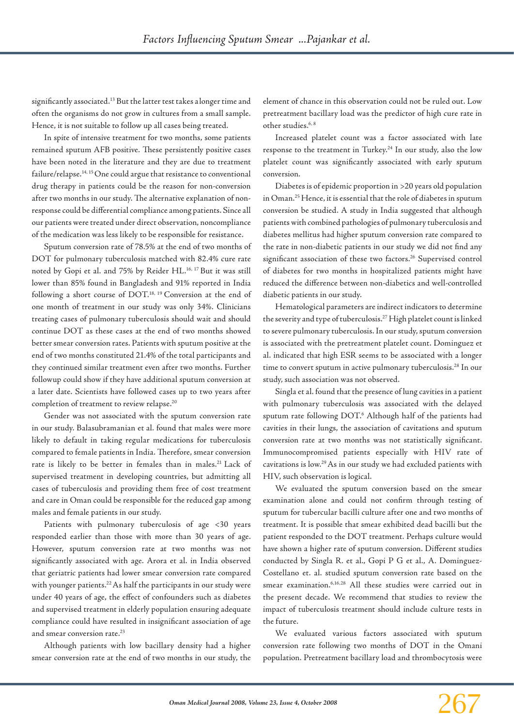significantly associated.13 But the latter test takes a longer time and often the organisms do not grow in cultures from a small sample. Hence, it is not suitable to follow up all cases being treated.

In spite of intensive treatment for two months, some patients remained sputum AFB positive. These persistently positive cases have been noted in the literature and they are due to treatment failure/relapse.<sup>14, 15</sup> One could argue that resistance to conventional drug therapy in patients could be the reason for non-conversion after two months in our study. The alternative explanation of nonresponse could be differential compliance among patients. Since all our patients were treated under direct observation, noncompliance of the medication was less likely to be responsible for resistance.

Sputum conversion rate of 78.5% at the end of two months of DOT for pulmonary tuberculosis matched with 82.4% cure rate noted by Gopi et al. and 75% by Reider HL.<sup>16, 17</sup> But it was still lower than 85% found in Bangladesh and 91% reported in India following a short course of DOT.18, 19 Conversion at the end of one month of treatment in our study was only 34%. Clinicians treating cases of pulmonary tuberculosis should wait and should continue DOT as these cases at the end of two months showed better smear conversion rates. Patients with sputum positive at the end of two months constituted 21.4% of the total participants and they continued similar treatment even after two months. Further followup could show if they have additional sputum conversion at a later date. Scientists have followed cases up to two years after completion of treatment to review relapse.20

Gender was not associated with the sputum conversion rate in our study. Balasubramanian et al. found that males were more likely to default in taking regular medications for tuberculosis compared to female patients in India. Therefore, smear conversion rate is likely to be better in females than in males.<sup>21</sup> Lack of supervised treatment in developing countries, but admitting all cases of tuberculosis and providing them free of cost treatment and care in Oman could be responsible for the reduced gap among males and female patients in our study.

Patients with pulmonary tuberculosis of age <30 years responded earlier than those with more than 30 years of age. However, sputum conversion rate at two months was not significantly associated with age. Arora et al. in India observed that geriatric patients had lower smear conversion rate compared with younger patients.<sup>22</sup> As half the participants in our study were under 40 years of age, the effect of confounders such as diabetes and supervised treatment in elderly population ensuring adequate compliance could have resulted in insignificant association of age and smear conversion rate.<sup>23</sup>

Although patients with low bacillary density had a higher smear conversion rate at the end of two months in our study, the

element of chance in this observation could not be ruled out. Low pretreatment bacillary load was the predictor of high cure rate in other studies.<sup>6, 8</sup>

Increased platelet count was a factor associated with late response to the treatment in Turkey.<sup>24</sup> In our study, also the low platelet count was significantly associated with early sputum conversion.

Diabetes is of epidemic proportion in >20 years old population in Oman.25 Hence, it is essential that the role of diabetes in sputum conversion be studied. A study in India suggested that although patients with combined pathologies of pulmonary tuberculosis and diabetes mellitus had higher sputum conversion rate compared to the rate in non-diabetic patients in our study we did not find any significant association of these two factors.<sup>26</sup> Supervised control of diabetes for two months in hospitalized patients might have reduced the difference between non-diabetics and well-controlled diabetic patients in our study.

Hematological parameters are indirect indicators to determine the severity and type of tuberculosis.27 High platelet count is linked to severe pulmonary tuberculosis. In our study, sputum conversion is associated with the pretreatment platelet count. Dominguez et al. indicated that high ESR seems to be associated with a longer time to convert sputum in active pulmonary tuberculosis.<sup>28</sup> In our study, such association was not observed.

Singla et al. found that the presence of lung cavities in a patient with pulmonary tuberculosis was associated with the delayed sputum rate following DOT.6 Although half of the patients had cavities in their lungs, the association of cavitations and sputum conversion rate at two months was not statistically significant. Immunocompromised patients especially with HIV rate of cavitations is low.29 As in our study we had excluded patients with HIV, such observation is logical.

We evaluated the sputum conversion based on the smear examination alone and could not confirm through testing of sputum for tubercular bacilli culture after one and two months of treatment. It is possible that smear exhibited dead bacilli but the patient responded to the DOT treatment. Perhaps culture would have shown a higher rate of sputum conversion. Different studies conducted by Singla R. et al., Gopi P G et al., A. Dominguez-Costellano et. al. studied sputum conversion rate based on the smear examination.<sup>6,16,28</sup> All these studies were carried out in the present decade. We recommend that studies to review the impact of tuberculosis treatment should include culture tests in the future.

We evaluated various factors associated with sputum conversion rate following two months of DOT in the Omani population. Pretreatment bacillary load and thrombocytosis were